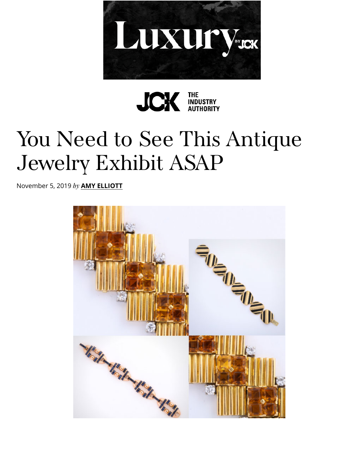



## [You Need to See This](https://googleads.g.doubleclick.net/pcs/click?xai=AKAOjsuSPHZVQT2NbGtRpGCh0cu47ZfHd7jL_TDsJ7SirUQGhfEV0Q-8RXfxALDjrUERi4kXS0ic1wpvsvyLxnDMTbrpxaZ33N7uBrnyO43YvO-46h02hm1qBXaR9oIQog00ZUx9n_QRnMC2w4RnwJGxadDL1Z2aWIQRO_Sng6jdEwOjYDLWolpeNsTsw6uCIb77A199424EFvapQgyvj1IYYUSKN9OkCk7Ef95gbtw7V3q7IOHLL-Zy6InxOWUGxFY&sai=AMfl-YTnv3GPODTDyj9rBfu1xMjPaYOb5mCERgJXOk7gJKXwiLmagiu3qY5C4OMGS-bxgu1LEbQydY_ajiAvRsJeNgxqmYbjUX4DnkxZr_EN&sig=Cg0ArKJSzLJUZb3LNpyg&adurl=https://luxury.jckonline.com/%3Futm_source%3Dcmv3-partner%26utm_campaign%3DJCK-Online-House-Ad-Luxury-05-31-2020%26utm_medium%3Dpartner-banner%26utm_term%3DJOHAL&nx=CLICK_X&ny=CLICK_Y) Antique [Jewelry Exhib](http://pinterest.com/pin/create/link/?url=https://www.jckonline.com/editorial-article/see-antique-jewelry-exhibit-asap/&media=https://www.jckonline.com/wp-content/uploads/2019/11/ALVR-bracelet-collage.jpg&description=You+Need+to+See+This+Antique+Jewelry+Exhibit+ASAP)it ASAP

November 5, 2019 *by* **A[MY ELLIOTT](https://www.jckonline.com/)**

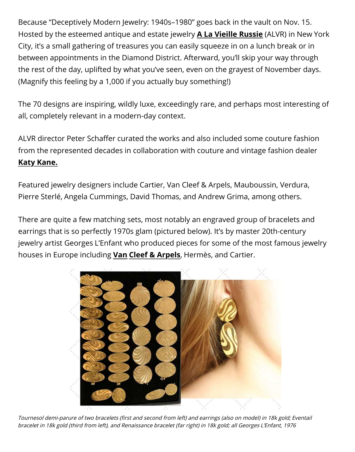Because "Deceptively Modern Jewelry: 1940s–1980" goes back in the vault on Nov. 15. Hosted by the esteemed antique and estate jewelry **A La Vieille Russie** (ALVR) in New York City, it's a small gathering of treasures you can easily squeeze in on a lunch break or in between appointments in the Diamond District. Afterward, you'll skip your way through the rest of the day, uplifted by what you've seen, even on the grayest of November days. (Magnify this feeling by a 1,000 if you actually buy something!)

The 70 designs are inspiring, wildly luxe, exceedingly rare, and perhaps most interesting of all, completely relevant in a modern-day context.

ALVR director Peter Schaffer curated the works and also included some couture fashion from the represented decades in collaboration with couture and vintage fashion dealer **Katy Kane.**

Featured jewelry designers include Cartier, Van Cleef & Arpels, Mauboussin, Verdura, Pierre Sterlé, Angela Cummings, David Thomas, and Andrew Grima, among others.

There are quite a few matching sets, most notably an engraved group of bracelets and earrings that is so perfectly 1970s glam (pictured below). It's by master 20th-century jewelry artist Georges L'Enfant who produced pieces for some of the most famous jewelry houses in Europe including **Van Cleef & Arpels**, Hermès, and Cartier.



Tournesol demi-parure of two bracelets (first and second from left) and earrings (also on model) in 18k gold; Eventail bracelet in 18k gold (third from left), and Renaissance bracelet (far right) in 18k gold; all Georges L'Enfant, 1976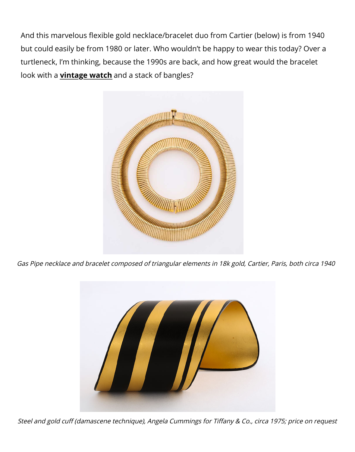And this marvelous flexible gold necklace/bracelet duo from Cartier (below) is from 1940 but could easily be from 1980 or later. Who wouldn't be happy to wear this today? Over a turtleneck, I'm thinking, because the 1990s are back, and how great would the bracelet look with a **vintage watch** and a stack of bangles?



[Gas Pipe necklace and bracelet composed of triangular elements in 18k gold, Cartier, Paris, both circa 1940](https://www.jckonline.com/editorial-article/van-cleef-arpels-ruby-collection/)



Steel and gold cuff [\(damascene technique\), Angela Cummings for Ti](https://www.jckonline.com/editorial-article/la-californienne-watches/)ffany & Co., circa 1975; price on request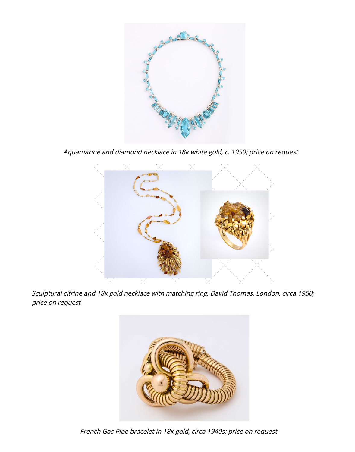

Aquamarine and diamond necklace in 18k white gold, c. 1950; price on request



Sculptural citrine and 18k gold necklace with matching ring, David Thomas, London, circa 1950; price on request



French Gas Pipe bracelet in 18k gold, circa 1940s; price on request